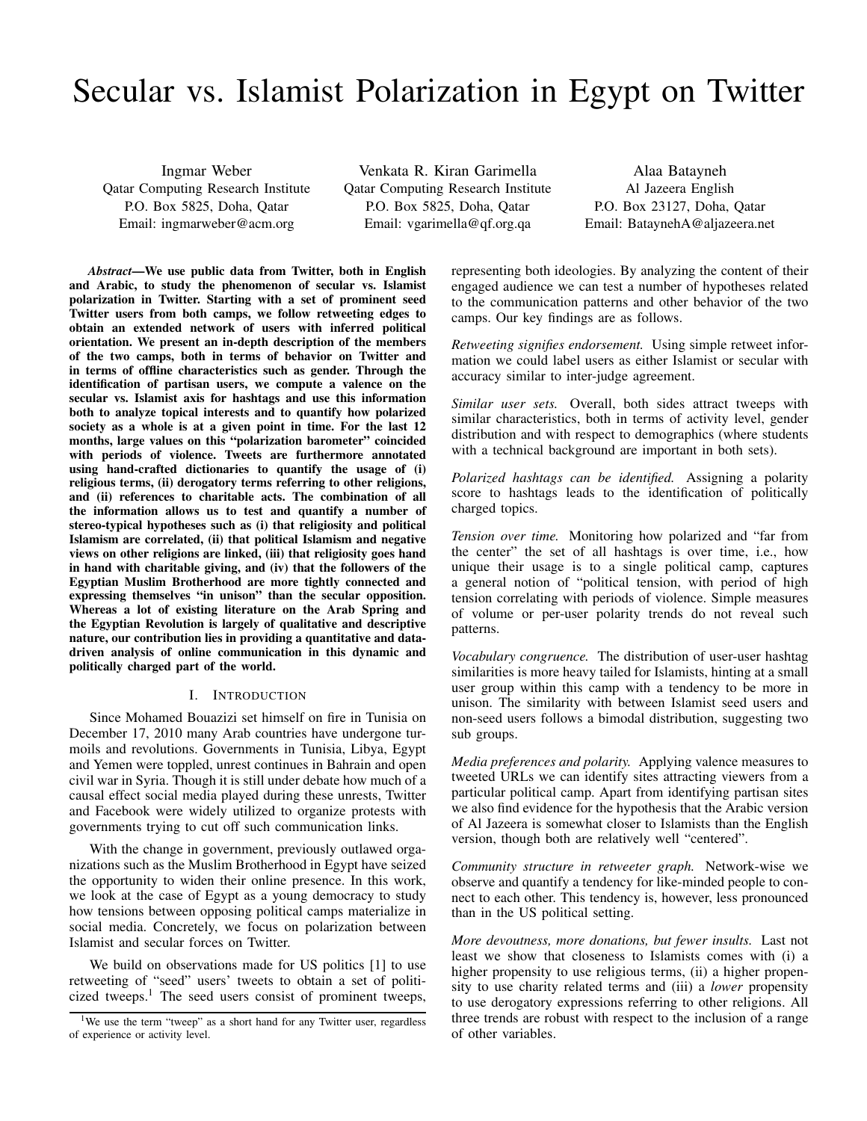# Secular vs. Islamist Polarization in Egypt on Twitter

Ingmar Weber Qatar Computing Research Institute P.O. Box 5825, Doha, Qatar Email: ingmarweber@acm.org

Venkata R. Kiran Garimella Qatar Computing Research Institute P.O. Box 5825, Doha, Qatar Email: vgarimella@qf.org.qa

Alaa Batayneh Al Jazeera English P.O. Box 23127, Doha, Qatar Email: BataynehA@aljazeera.net

*Abstract*—We use public data from Twitter, both in English and Arabic, to study the phenomenon of secular vs. Islamist polarization in Twitter. Starting with a set of prominent seed Twitter users from both camps, we follow retweeting edges to obtain an extended network of users with inferred political orientation. We present an in-depth description of the members of the two camps, both in terms of behavior on Twitter and in terms of offline characteristics such as gender. Through the identification of partisan users, we compute a valence on the secular vs. Islamist axis for hashtags and use this information both to analyze topical interests and to quantify how polarized society as a whole is at a given point in time. For the last 12 months, large values on this "polarization barometer" coincided with periods of violence. Tweets are furthermore annotated using hand-crafted dictionaries to quantify the usage of (i) religious terms, (ii) derogatory terms referring to other religions, and (ii) references to charitable acts. The combination of all the information allows us to test and quantify a number of stereo-typical hypotheses such as (i) that religiosity and political Islamism are correlated, (ii) that political Islamism and negative views on other religions are linked, (iii) that religiosity goes hand in hand with charitable giving, and (iv) that the followers of the Egyptian Muslim Brotherhood are more tightly connected and expressing themselves "in unison" than the secular opposition. Whereas a lot of existing literature on the Arab Spring and the Egyptian Revolution is largely of qualitative and descriptive nature, our contribution lies in providing a quantitative and datadriven analysis of online communication in this dynamic and politically charged part of the world.

#### I. INTRODUCTION

Since Mohamed Bouazizi set himself on fire in Tunisia on December 17, 2010 many Arab countries have undergone turmoils and revolutions. Governments in Tunisia, Libya, Egypt and Yemen were toppled, unrest continues in Bahrain and open civil war in Syria. Though it is still under debate how much of a causal effect social media played during these unrests, Twitter and Facebook were widely utilized to organize protests with governments trying to cut off such communication links.

With the change in government, previously outlawed organizations such as the Muslim Brotherhood in Egypt have seized the opportunity to widen their online presence. In this work, we look at the case of Egypt as a young democracy to study how tensions between opposing political camps materialize in social media. Concretely, we focus on polarization between Islamist and secular forces on Twitter.

We build on observations made for US politics [1] to use retweeting of "seed" users' tweets to obtain a set of politicized tweeps.<sup>1</sup> The seed users consist of prominent tweeps,

representing both ideologies. By analyzing the content of their engaged audience we can test a number of hypotheses related to the communication patterns and other behavior of the two camps. Our key findings are as follows.

*Retweeting signifies endorsement.* Using simple retweet information we could label users as either Islamist or secular with accuracy similar to inter-judge agreement.

*Similar user sets.* Overall, both sides attract tweeps with similar characteristics, both in terms of activity level, gender distribution and with respect to demographics (where students with a technical background are important in both sets).

*Polarized hashtags can be identified.* Assigning a polarity score to hashtags leads to the identification of politically charged topics.

*Tension over time.* Monitoring how polarized and "far from the center" the set of all hashtags is over time, i.e., how unique their usage is to a single political camp, captures a general notion of "political tension, with period of high tension correlating with periods of violence. Simple measures of volume or per-user polarity trends do not reveal such patterns.

*Vocabulary congruence.* The distribution of user-user hashtag similarities is more heavy tailed for Islamists, hinting at a small user group within this camp with a tendency to be more in unison. The similarity with between Islamist seed users and non-seed users follows a bimodal distribution, suggesting two sub groups.

*Media preferences and polarity.* Applying valence measures to tweeted URLs we can identify sites attracting viewers from a particular political camp. Apart from identifying partisan sites we also find evidence for the hypothesis that the Arabic version of Al Jazeera is somewhat closer to Islamists than the English version, though both are relatively well "centered".

*Community structure in retweeter graph.* Network-wise we observe and quantify a tendency for like-minded people to connect to each other. This tendency is, however, less pronounced than in the US political setting.

*More devoutness, more donations, but fewer insults.* Last not least we show that closeness to Islamists comes with (i) a higher propensity to use religious terms, (ii) a higher propensity to use charity related terms and (iii) a *lower* propensity to use derogatory expressions referring to other religions. All three trends are robust with respect to the inclusion of a range of other variables.

<sup>&</sup>lt;sup>1</sup>We use the term "tweep" as a short hand for any Twitter user, regardless of experience or activity level.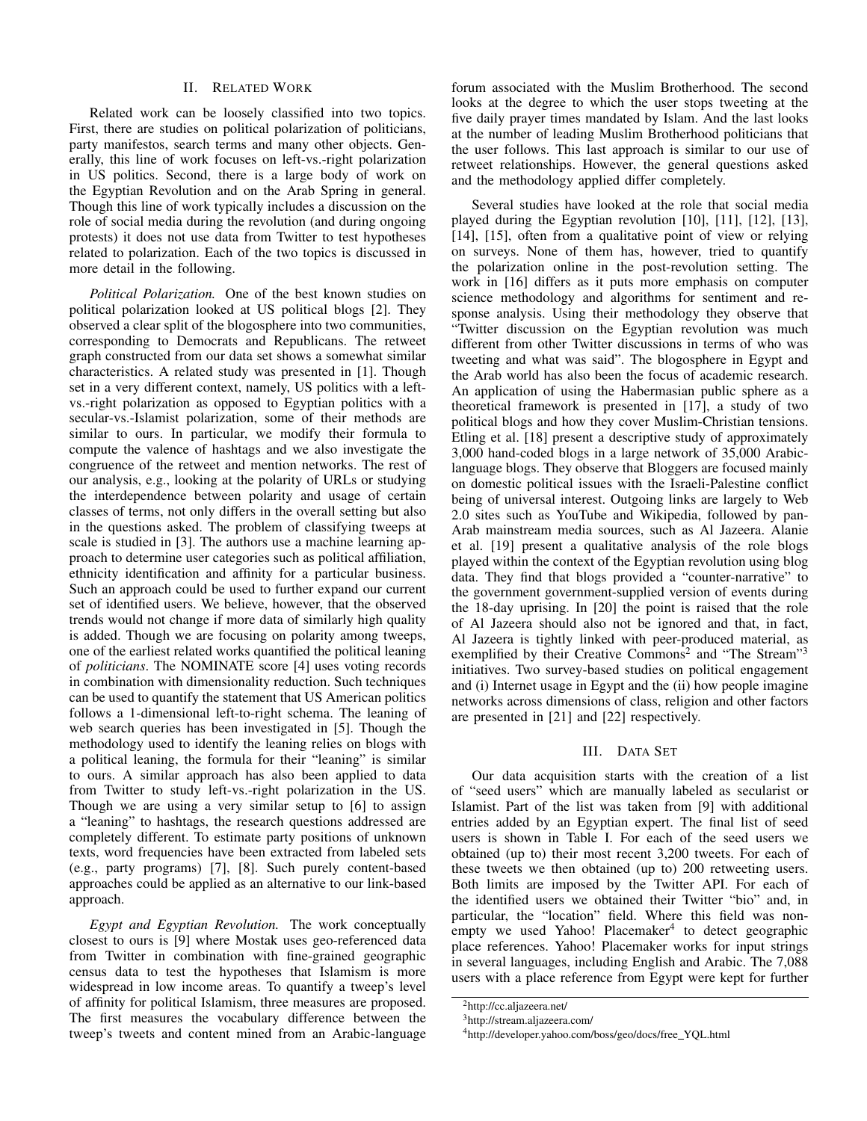# II. RELATED WORK

Related work can be loosely classified into two topics. First, there are studies on political polarization of politicians, party manifestos, search terms and many other objects. Generally, this line of work focuses on left-vs.-right polarization in US politics. Second, there is a large body of work on the Egyptian Revolution and on the Arab Spring in general. Though this line of work typically includes a discussion on the role of social media during the revolution (and during ongoing protests) it does not use data from Twitter to test hypotheses related to polarization. Each of the two topics is discussed in more detail in the following.

*Political Polarization.* One of the best known studies on political polarization looked at US political blogs [2]. They observed a clear split of the blogosphere into two communities, corresponding to Democrats and Republicans. The retweet graph constructed from our data set shows a somewhat similar characteristics. A related study was presented in [1]. Though set in a very different context, namely, US politics with a leftvs.-right polarization as opposed to Egyptian politics with a secular-vs.-Islamist polarization, some of their methods are similar to ours. In particular, we modify their formula to compute the valence of hashtags and we also investigate the congruence of the retweet and mention networks. The rest of our analysis, e.g., looking at the polarity of URLs or studying the interdependence between polarity and usage of certain classes of terms, not only differs in the overall setting but also in the questions asked. The problem of classifying tweeps at scale is studied in [3]. The authors use a machine learning approach to determine user categories such as political affiliation, ethnicity identification and affinity for a particular business. Such an approach could be used to further expand our current set of identified users. We believe, however, that the observed trends would not change if more data of similarly high quality is added. Though we are focusing on polarity among tweeps, one of the earliest related works quantified the political leaning of *politicians*. The NOMINATE score [4] uses voting records in combination with dimensionality reduction. Such techniques can be used to quantify the statement that US American politics follows a 1-dimensional left-to-right schema. The leaning of web search queries has been investigated in [5]. Though the methodology used to identify the leaning relies on blogs with a political leaning, the formula for their "leaning" is similar to ours. A similar approach has also been applied to data from Twitter to study left-vs.-right polarization in the US. Though we are using a very similar setup to [6] to assign a "leaning" to hashtags, the research questions addressed are completely different. To estimate party positions of unknown texts, word frequencies have been extracted from labeled sets (e.g., party programs) [7], [8]. Such purely content-based approaches could be applied as an alternative to our link-based approach.

*Egypt and Egyptian Revolution.* The work conceptually closest to ours is [9] where Mostak uses geo-referenced data from Twitter in combination with fine-grained geographic census data to test the hypotheses that Islamism is more widespread in low income areas. To quantify a tweep's level of affinity for political Islamism, three measures are proposed. The first measures the vocabulary difference between the tweep's tweets and content mined from an Arabic-language forum associated with the Muslim Brotherhood. The second looks at the degree to which the user stops tweeting at the five daily prayer times mandated by Islam. And the last looks at the number of leading Muslim Brotherhood politicians that the user follows. This last approach is similar to our use of retweet relationships. However, the general questions asked and the methodology applied differ completely.

Several studies have looked at the role that social media played during the Egyptian revolution [10], [11], [12], [13], [14], [15], often from a qualitative point of view or relying on surveys. None of them has, however, tried to quantify the polarization online in the post-revolution setting. The work in [16] differs as it puts more emphasis on computer science methodology and algorithms for sentiment and response analysis. Using their methodology they observe that "Twitter discussion on the Egyptian revolution was much different from other Twitter discussions in terms of who was tweeting and what was said". The blogosphere in Egypt and the Arab world has also been the focus of academic research. An application of using the Habermasian public sphere as a theoretical framework is presented in [17], a study of two political blogs and how they cover Muslim-Christian tensions. Etling et al. [18] present a descriptive study of approximately 3,000 hand-coded blogs in a large network of 35,000 Arabiclanguage blogs. They observe that Bloggers are focused mainly on domestic political issues with the Israeli-Palestine conflict being of universal interest. Outgoing links are largely to Web 2.0 sites such as YouTube and Wikipedia, followed by pan-Arab mainstream media sources, such as Al Jazeera. Alanie et al. [19] present a qualitative analysis of the role blogs played within the context of the Egyptian revolution using blog data. They find that blogs provided a "counter-narrative" to the government government-supplied version of events during the 18-day uprising. In [20] the point is raised that the role of Al Jazeera should also not be ignored and that, in fact, Al Jazeera is tightly linked with peer-produced material, as exemplified by their Creative Commons<sup>2</sup> and "The Stream"<sup>3</sup> initiatives. Two survey-based studies on political engagement and (i) Internet usage in Egypt and the (ii) how people imagine networks across dimensions of class, religion and other factors are presented in [21] and [22] respectively.

#### III. DATA SET

Our data acquisition starts with the creation of a list of "seed users" which are manually labeled as secularist or Islamist. Part of the list was taken from [9] with additional entries added by an Egyptian expert. The final list of seed users is shown in Table I. For each of the seed users we obtained (up to) their most recent 3,200 tweets. For each of these tweets we then obtained (up to) 200 retweeting users. Both limits are imposed by the Twitter API. For each of the identified users we obtained their Twitter "bio" and, in particular, the "location" field. Where this field was nonempty we used Yahoo! Placemaker $4$  to detect geographic place references. Yahoo! Placemaker works for input strings in several languages, including English and Arabic. The 7,088 users with a place reference from Egypt were kept for further

<sup>2</sup>http://cc.aljazeera.net/

<sup>3</sup>http://stream.aljazeera.com/

<sup>4</sup>http://developer.yahoo.com/boss/geo/docs/free YQL.html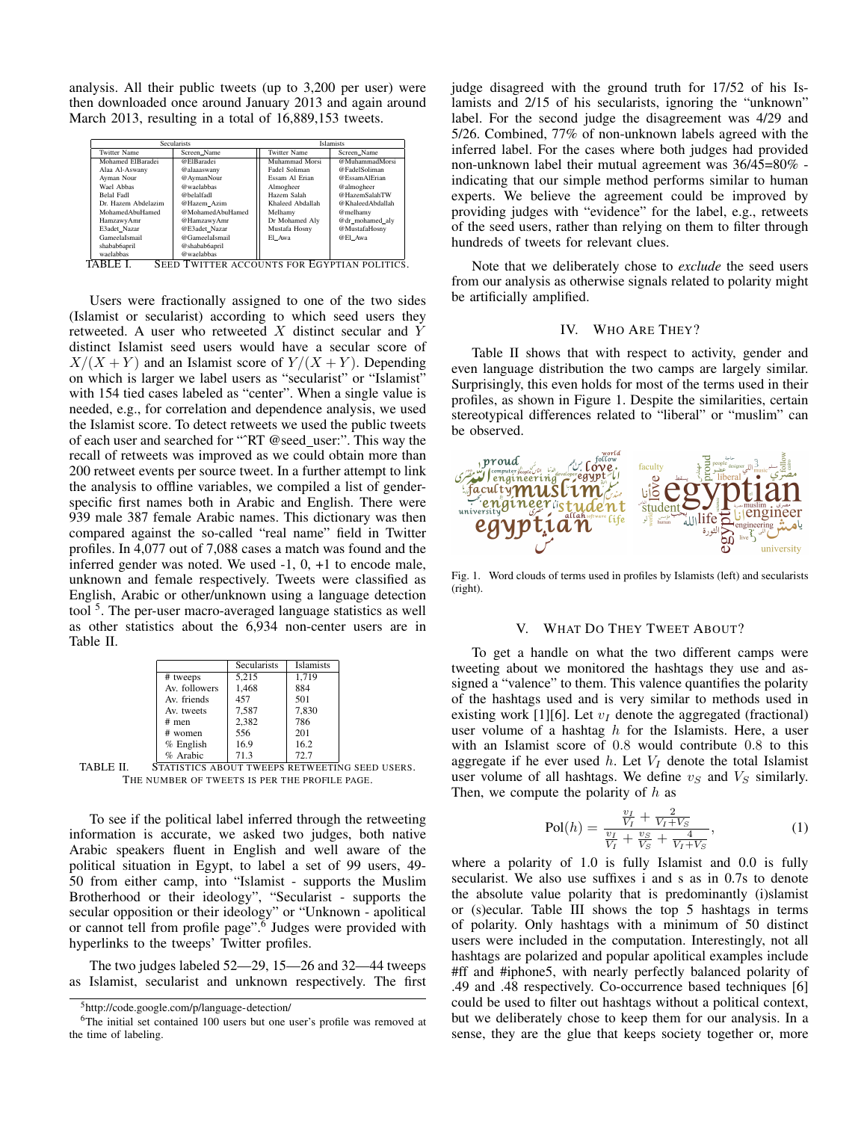analysis. All their public tweets (up to 3,200 per user) were then downloaded once around January 2013 and again around March 2013, resulting in a total of 16,889,153 tweets.

|                     | <b>Secularists</b> | <b>Islamists</b>    |                  |  |
|---------------------|--------------------|---------------------|------------------|--|
| <b>Twitter Name</b> | Screen Name        | <b>Twitter Name</b> | Screen Name      |  |
| Mohamed ElBaradei   | @ElBaradei         | Muhammad Morsi      | @MuhammadMorsi   |  |
| Alaa Al-Aswany      | @alaaaswany        | Eadel Soliman       | @FadelSoliman    |  |
| Avman Nour          | @AymanNour         | Essam Al Erian      | @EssamAlErian    |  |
| Wael Abbas          | @waelabbas         | Almogheer           | @almogheer       |  |
| Belal Fadl          | @belalfadl         | Hazem Salah         | @HazemSalahTW    |  |
| Dr. Hazem Abdelazim | @Hazem_Azim        | Khaleed Abdallah    | @KhaleedAbdallah |  |
| MohamedAbuHamed     | @MohamedAbuHamed   | Melhamy             | @melhamy         |  |
| HamzawyAmr          | @HamzawyAmr        | Dr Mohamed Aly      | @dr_mohamed_aly  |  |
| E3adet Nazar        | @E3adet Nazar      | Mustafa Hosny       | @MustafaHosny    |  |
| GameelaIsmail       | @GameelaIsmail     | El Awa              | @El Awa          |  |
| shabab6april        | @shabab6april      |                     |                  |  |
| waelabbas           | @waelabbas         |                     |                  |  |

TABLE I. SEED TWITTER ACCOUNTS FOR EGYPTIAN POLITICS.

Users were fractionally assigned to one of the two sides (Islamist or secularist) according to which seed users they retweeted. A user who retweeted  $X$  distinct secular and Y distinct Islamist seed users would have a secular score of  $X/(X + Y)$  and an Islamist score of  $Y/(X + Y)$ . Depending on which is larger we label users as "secularist" or "Islamist" with 154 tied cases labeled as "center". When a single value is needed, e.g., for correlation and dependence analysis, we used the Islamist score. To detect retweets we used the public tweets of each user and searched for "ˆRT @seed user:". This way the recall of retweets was improved as we could obtain more than 200 retweet events per source tweet. In a further attempt to link the analysis to offline variables, we compiled a list of genderspecific first names both in Arabic and English. There were 939 male 387 female Arabic names. This dictionary was then compared against the so-called "real name" field in Twitter profiles. In 4,077 out of 7,088 cases a match was found and the inferred gender was noted. We used -1, 0, +1 to encode male, unknown and female respectively. Tweets were classified as English, Arabic or other/unknown using a language detection tool<sup>5</sup>. The per-user macro-averaged language statistics as well as other statistics about the 6,934 non-center users are in Table II.

|               | Secularists | <b>Islamists</b> |
|---------------|-------------|------------------|
| # tweeps      | 5.215       | 1.719            |
| Av. followers | 1.468       | 884              |
| Av. friends   | 457         | 501              |
| Av. tweets    | 7.587       | 7.830            |
| $#$ men       | 2.382       | 786              |
| # women       | 556         | 201              |
| $%$ English   | 16.9        | 16.2             |
| % Arabic      | 71.3        | 72.7             |

TABLE II. STATISTICS ABOUT TWEEPS RETWEETING SEED USERS. THE NUMBER OF TWEETS IS PER THE PROFILE PAGE.

To see if the political label inferred through the retweeting information is accurate, we asked two judges, both native Arabic speakers fluent in English and well aware of the political situation in Egypt, to label a set of 99 users, 49- 50 from either camp, into "Islamist - supports the Muslim Brotherhood or their ideology", "Secularist - supports the secular opposition or their ideology" or "Unknown - apolitical or cannot tell from profile page".<sup>6</sup> Judges were provided with hyperlinks to the tweeps' Twitter profiles.

The two judges labeled 52—29, 15—26 and 32—44 tweeps as Islamist, secularist and unknown respectively. The first

judge disagreed with the ground truth for 17/52 of his Islamists and 2/15 of his secularists, ignoring the "unknown" label. For the second judge the disagreement was 4/29 and 5/26. Combined, 77% of non-unknown labels agreed with the inferred label. For the cases where both judges had provided non-unknown label their mutual agreement was 36/45=80% indicating that our simple method performs similar to human experts. We believe the agreement could be improved by providing judges with "evidence" for the label, e.g., retweets of the seed users, rather than relying on them to filter through hundreds of tweets for relevant clues.

Note that we deliberately chose to *exclude* the seed users from our analysis as otherwise signals related to polarity might be artificially amplified.

#### IV. WHO ARE THEY?

Table II shows that with respect to activity, gender and even language distribution the two camps are largely similar. Surprisingly, this even holds for most of the terms used in their profiles, as shown in Figure 1. Despite the similarities, certain stereotypical differences related to "liberal" or "muslim" can be observed.



Fig. 1. Word clouds of terms used in profiles by Islamists (left) and secularists (right).

#### V. WHAT DO THEY TWEET ABOUT?

To get a handle on what the two different camps were tweeting about we monitored the hashtags they use and assigned a "valence" to them. This valence quantifies the polarity of the hashtags used and is very similar to methods used in existing work [1][6]. Let  $v_I$  denote the aggregated (fractional) user volume of a hashtag  $h$  for the Islamists. Here, a user with an Islamist score of 0.8 would contribute 0.8 to this aggregate if he ever used h. Let  $V_I$  denote the total Islamist user volume of all hashtags. We define  $v_S$  and  $V_S$  similarly. Then, we compute the polarity of  $h$  as

$$
\text{Pol}(h) = \frac{\frac{v_I}{V_I} + \frac{2}{V_I + V_S}}{\frac{v_I}{V_I} + \frac{v_S}{V_S} + \frac{4}{V_I + V_S}},\tag{1}
$$

where a polarity of 1.0 is fully Islamist and 0.0 is fully secularist. We also use suffixes i and s as in 0.7s to denote the absolute value polarity that is predominantly (i)slamist or (s)ecular. Table III shows the top 5 hashtags in terms of polarity. Only hashtags with a minimum of 50 distinct users were included in the computation. Interestingly, not all hashtags are polarized and popular apolitical examples include #ff and #iphone5, with nearly perfectly balanced polarity of .49 and .48 respectively. Co-occurrence based techniques [6] could be used to filter out hashtags without a political context, but we deliberately chose to keep them for our analysis. In a sense, they are the glue that keeps society together or, more

<sup>5</sup>http://code.google.com/p/language-detection/

<sup>6</sup>The initial set contained 100 users but one user's profile was removed at the time of labeling.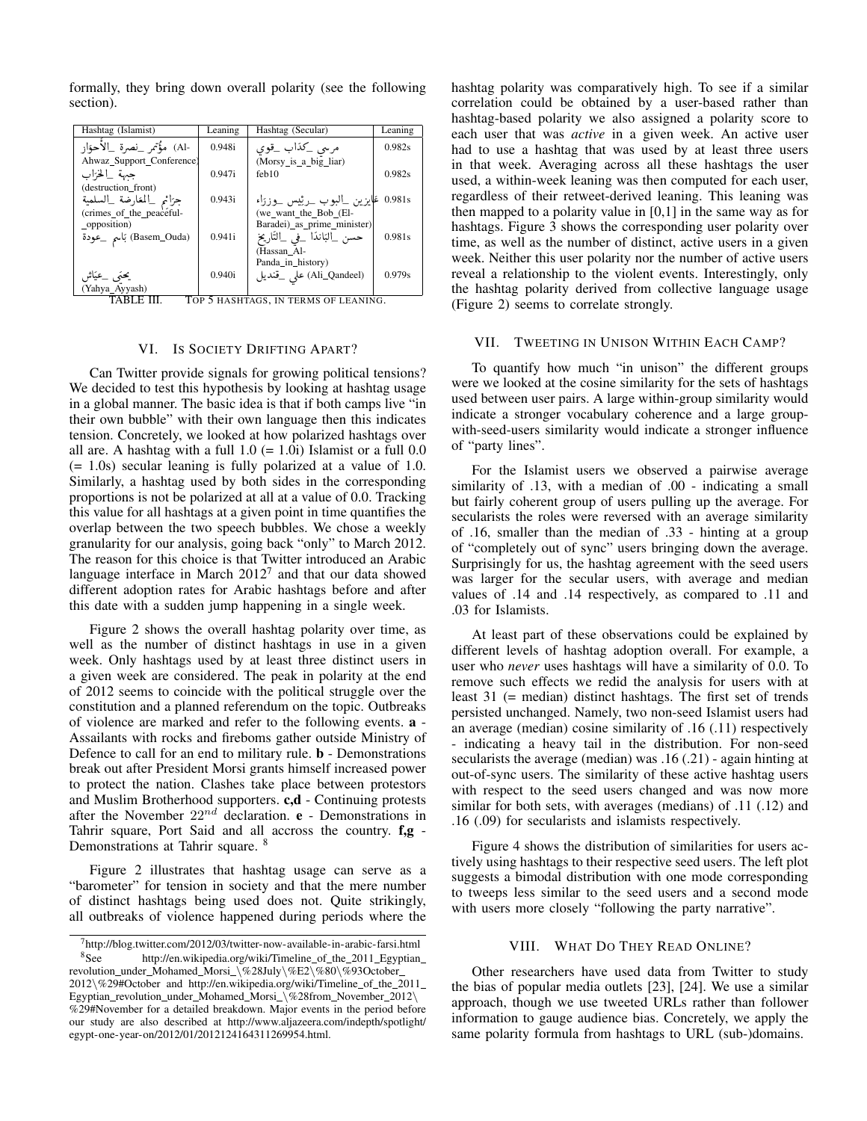formally, they bring down overall polarity (see the following section).

| Hashtag (Islamist)         | Leaning | Hashtag (Secular)                    | Leaning |
|----------------------------|---------|--------------------------------------|---------|
| -Al) مؤتمر _نصرة _الأحوَاز | 0.948i  | مرسى كذاب قوى                        | 0.982s  |
| Ahwaz_Support_Conference)  |         | (Morsy_is_a_big_liar)                |         |
| جهة _الخزاب                | 0.947i  | $f$ e $h$ 10                         | 0.982s  |
| (destruction_front)        |         |                                      |         |
| جزائم _المعَارضة _السلمية  | 0.943i  | 0.981s عَايزين _البوب _رئِيس _وزرَاء |         |
| (crimes_of_the_peaceful-   |         | (we_want_the_Bob_(El-                |         |
| _opposition)               |         | Baradei)_as_prime_minister)          |         |
| (Basem_Ouda) بَاسم _عودة   | 0.941i  | حسن _البَاندَا _في _التَاريخ         | 0.981s  |
|                            |         | (Hassan Al-                          |         |
|                            |         | Panda in history)                    |         |
| يحتمى _عَيَاش              | 0.940i  | (Ali_Qandeel) على _قنديل             | 0.979s  |
| (Yahya_Ayyash)             |         |                                      |         |
| TABLE                      |         | TOP 5 HASHTAGS. IN TERMS OF LEANING. |         |

# VI. IS SOCIETY DRIFTING APART?

Can Twitter provide signals for growing political tensions? We decided to test this hypothesis by looking at hashtag usage in a global manner. The basic idea is that if both camps live "in their own bubble" with their own language then this indicates tension. Concretely, we looked at how polarized hashtags over all are. A hashtag with a full  $1.0$  (=  $1.0i$ ) Islamist or a full  $0.0$ (= 1.0s) secular leaning is fully polarized at a value of 1.0. Similarly, a hashtag used by both sides in the corresponding proportions is not be polarized at all at a value of 0.0. Tracking this value for all hashtags at a given point in time quantifies the overlap between the two speech bubbles. We chose a weekly granularity for our analysis, going back "only" to March 2012. The reason for this choice is that Twitter introduced an Arabic language interface in March 2012<sup>7</sup> and that our data showed different adoption rates for Arabic hashtags before and after this date with a sudden jump happening in a single week.

Figure 2 shows the overall hashtag polarity over time, as well as the number of distinct hashtags in use in a given week. Only hashtags used by at least three distinct users in a given week are considered. The peak in polarity at the end of 2012 seems to coincide with the political struggle over the constitution and a planned referendum on the topic. Outbreaks of violence are marked and refer to the following events. a - Assailants with rocks and fireboms gather outside Ministry of Defence to call for an end to military rule. b - Demonstrations break out after President Morsi grants himself increased power to protect the nation. Clashes take place between protestors and Muslim Brotherhood supporters. c,d - Continuing protests after the November  $22^{nd}$  declaration.  $e$  - Demonstrations in Tahrir square, Port Said and all accross the country. f,g - Demonstrations at Tahrir square. <sup>8</sup>

Figure 2 illustrates that hashtag usage can serve as a "barometer" for tension in society and that the mere number of distinct hashtags being used does not. Quite strikingly, all outbreaks of violence happened during periods where the hashtag polarity was comparatively high. To see if a similar correlation could be obtained by a user-based rather than hashtag-based polarity we also assigned a polarity score to each user that was *active* in a given week. An active user had to use a hashtag that was used by at least three users in that week. Averaging across all these hashtags the user used, a within-week leaning was then computed for each user, regardless of their retweet-derived leaning. This leaning was then mapped to a polarity value in [0,1] in the same way as for hashtags. Figure 3 shows the corresponding user polarity over time, as well as the number of distinct, active users in a given week. Neither this user polarity nor the number of active users reveal a relationship to the violent events. Interestingly, only the hashtag polarity derived from collective language usage (Figure 2) seems to correlate strongly.

## VII. TWEETING IN UNISON WITHIN EACH CAMP?

To quantify how much "in unison" the different groups were we looked at the cosine similarity for the sets of hashtags used between user pairs. A large within-group similarity would indicate a stronger vocabulary coherence and a large groupwith-seed-users similarity would indicate a stronger influence of "party lines".

For the Islamist users we observed a pairwise average similarity of .13, with a median of .00 - indicating a small but fairly coherent group of users pulling up the average. For secularists the roles were reversed with an average similarity of .16, smaller than the median of .33 - hinting at a group of "completely out of sync" users bringing down the average. Surprisingly for us, the hashtag agreement with the seed users was larger for the secular users, with average and median values of .14 and .14 respectively, as compared to .11 and .03 for Islamists.

At least part of these observations could be explained by different levels of hashtag adoption overall. For example, a user who *never* uses hashtags will have a similarity of 0.0. To remove such effects we redid the analysis for users with at least 31 (= median) distinct hashtags. The first set of trends persisted unchanged. Namely, two non-seed Islamist users had an average (median) cosine similarity of .16 (.11) respectively - indicating a heavy tail in the distribution. For non-seed secularists the average (median) was .16 (.21) - again hinting at out-of-sync users. The similarity of these active hashtag users with respect to the seed users changed and was now more similar for both sets, with averages (medians) of .11 (.12) and .16 (.09) for secularists and islamists respectively.

Figure 4 shows the distribution of similarities for users actively using hashtags to their respective seed users. The left plot suggests a bimodal distribution with one mode corresponding to tweeps less similar to the seed users and a second mode with users more closely "following the party narrative".

# VIII. WHAT DO THEY READ ONLINE?

Other researchers have used data from Twitter to study the bias of popular media outlets [23], [24]. We use a similar approach, though we use tweeted URLs rather than follower information to gauge audience bias. Concretely, we apply the same polarity formula from hashtags to URL (sub-)domains.

<sup>7</sup>http://blog.twitter.com/2012/03/twitter-now-available-in-arabic-farsi.html http://en.wikipedia.org/wiki/Timeline\_of\_the\_2011\_Egyptian\_ revolution\_under\_Mohamed\_Morsi\_\%28July\%E2\%80\%93October\_ 2012\%29#October and http://en.wikipedia.org/wiki/Timeline\_of\_the\_2011\_ Egyptian\_revolution\_under\_Mohamed\_Morsi\_\%28from\_November\_2012\ %29#November for a detailed breakdown. Major events in the period before our study are also described at http://www.aljazeera.com/indepth/spotlight/ egypt-one-year-on/2012/01/2012124164311269954.html.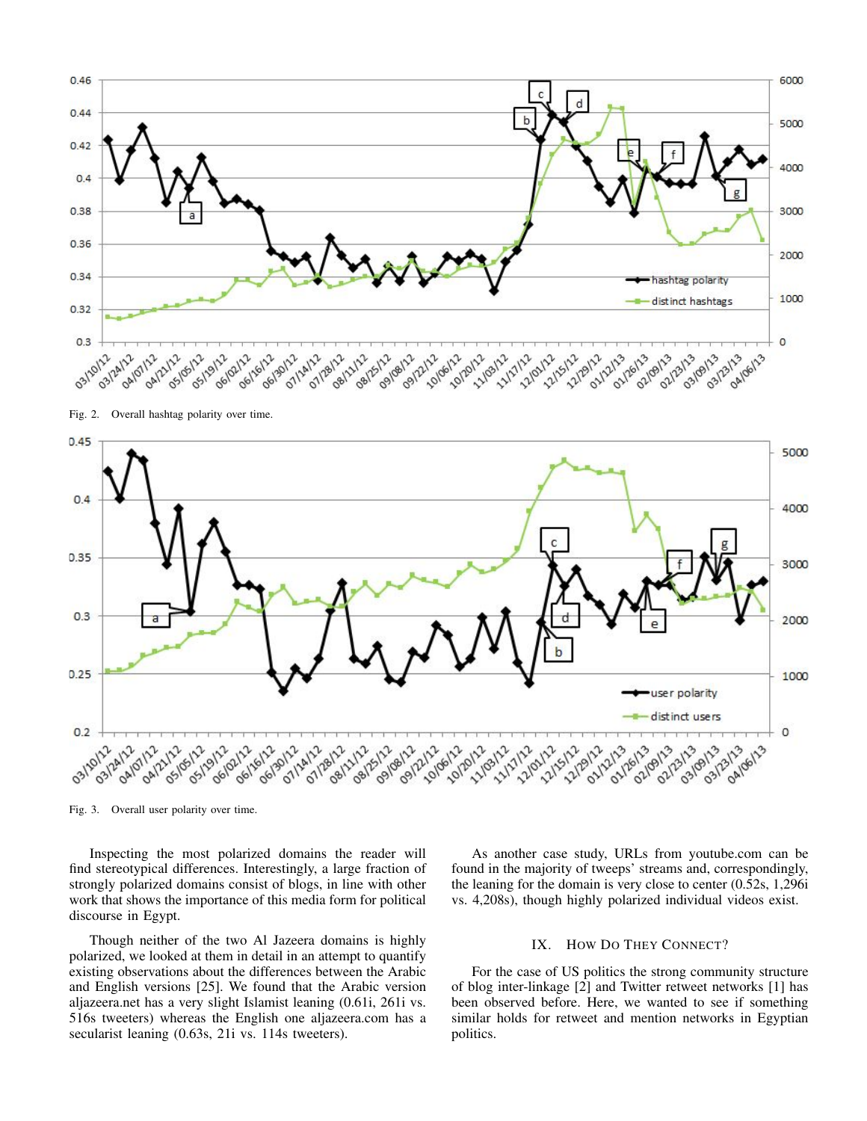

Fig. 2. Overall hashtag polarity over time.



Fig. 3. Overall user polarity over time.

Inspecting the most polarized domains the reader will find stereotypical differences. Interestingly, a large fraction of strongly polarized domains consist of blogs, in line with other work that shows the importance of this media form for political discourse in Egypt.

Though neither of the two Al Jazeera domains is highly polarized, we looked at them in detail in an attempt to quantify existing observations about the differences between the Arabic and English versions [25]. We found that the Arabic version aljazeera.net has a very slight Islamist leaning (0.61i, 261i vs. 516s tweeters) whereas the English one aljazeera.com has a secularist leaning  $(0.63s, 21i \text{ vs. } 114s \text{ tweets}).$ 

As another case study, URLs from youtube.com can be found in the majority of tweeps' streams and, correspondingly, the leaning for the domain is very close to center (0.52s, 1,296i vs. 4,208s), though highly polarized individual videos exist.

#### IX. HOW DO THEY CONNECT?

For the case of US politics the strong community structure of blog inter-linkage [2] and Twitter retweet networks [1] has been observed before. Here, we wanted to see if something similar holds for retweet and mention networks in Egyptian politics.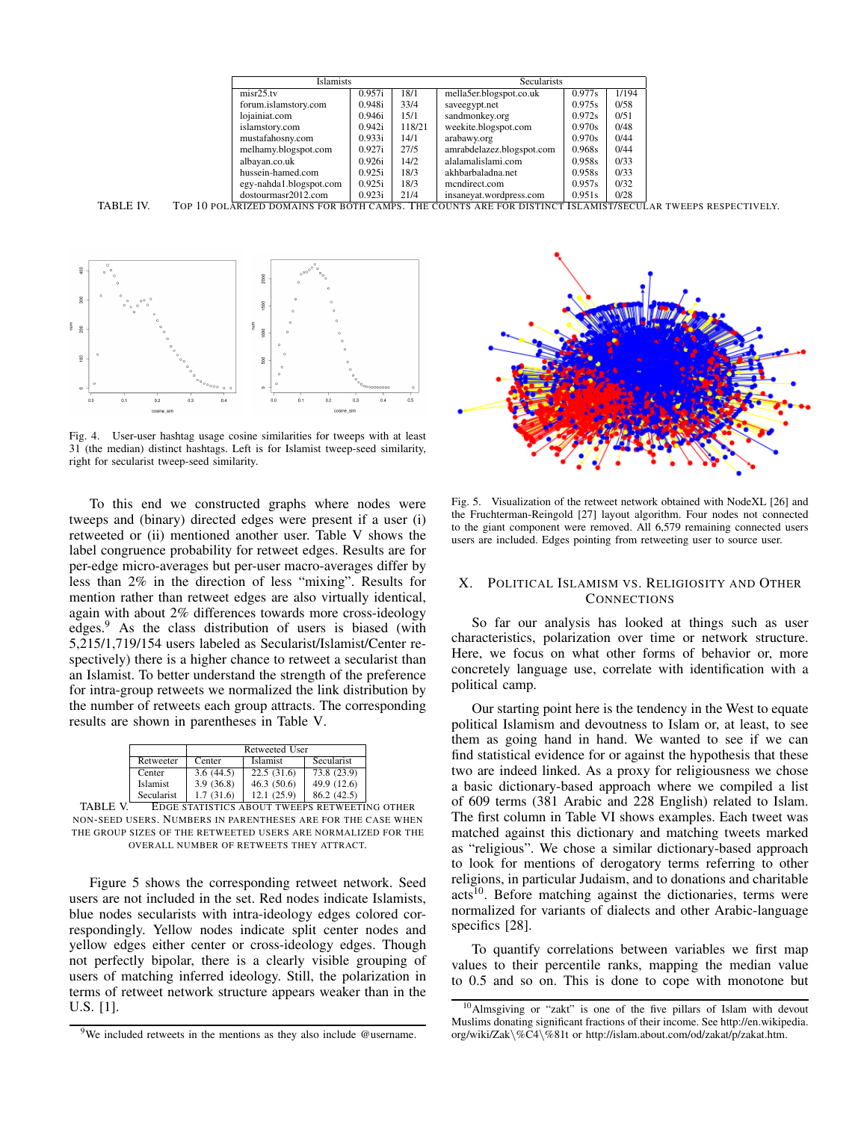| Islamists               |        |            | Secularists               |        |       |
|-------------------------|--------|------------|---------------------------|--------|-------|
| $mix25$ .tv             | 0.957i | 18/1       | mella5er.blogspot.co.uk   | 0.977s | 1/194 |
| forum.islamstory.com    | 0.948i | 33/4       | saveegypt.net             | 0.975s | 0/58  |
| lojainiat.com           | 0.946i | 15/1       | sandmonkey.org            | 0.972s | 0/51  |
| islamstory.com          | 0.942i | 118/21     | weekite.blogspot.com      | 0.970s | 0/48  |
| mustafahosny.com        | 0.933i | 14/1       | arabawy.org               | 0.970s | 0/44  |
| melhamy.blogspot.com    | 0.927i | 27/5       | amrabdelazez.blogspot.com | 0.968s | 0/44  |
| albayan.co.uk           | 0.926i | 14/2       | alalamalislami.com        | 0.958s | 0/33  |
| hussein-hamed.com       | 0.925i | 18/3       | akhbarbaladna.net         | 0.958s | 0/33  |
| egy-nahda1.blogspot.com | 0.925i | 18/3       | mendirect.com             | 0.957s | 0/32  |
| dostourmasr2012.com     | 0.923i | 21/4<br>-- | insaneyat.wordpress.com   | 0.951s | 0/28  |

TABLE IV. TOP 10 POLARIZED DOMAINS FOR BOTH CAMPS. THE COUNTS ARE FOR DISTINCT ISLAMIST/SECULAR TWEEPS RESPECTIVELY.



Fig. 4. User-user hashtag usage cosine similarities for tweeps with at least 31 (the median) distinct hashtags. Left is for Islamist tweep-seed similarity, right for secularist tweep-seed similarity.

To this end we constructed graphs where nodes were tweeps and (binary) directed edges were present if a user (i) retweeted or (ii) mentioned another user. Table V shows the label congruence probability for retweet edges. Results are for per-edge micro-averages but per-user macro-averages differ by less than 2% in the direction of less "mixing". Results for mention rather than retweet edges are also virtually identical, again with about 2% differences towards more cross-ideology edges.<sup>9</sup> As the class distribution of users is biased (with 5,215/1,719/154 users labeled as Secularist/Islamist/Center respectively) there is a higher chance to retweet a secularist than an Islamist. To better understand the strength of the preference for intra-group retweets we normalized the link distribution by the number of retweets each group attracts. The corresponding results are shown in parentheses in Table V.

|                 | Retweeted User |                 |             |  |
|-----------------|----------------|-----------------|-------------|--|
| Retweeter       | Center         | <b>Islamist</b> | Secularist  |  |
| Center          | 3.6(44.5)      | 22.5(31.6)      | 73.8 (23.9) |  |
| <b>Islamist</b> | 3.9(36.8)      | 46.3(50.6)      | 49.9 (12.6) |  |
| Secularist      | 1.7(31.6)      | 12.1(25.9)      | 86.2 (42.5) |  |

TABLE V. EDGE STATISTICS ABOUT TWEEPS RETWEETING OTHER NON-SEED USERS. NUMBERS IN PARENTHESES ARE FOR THE CASE WHEN THE GROUP SIZES OF THE RETWEETED USERS ARE NORMALIZED FOR THE OVERALL NUMBER OF RETWEETS THEY ATTRACT.

Figure 5 shows the corresponding retweet network. Seed users are not included in the set. Red nodes indicate Islamists, blue nodes secularists with intra-ideology edges colored correspondingly. Yellow nodes indicate split center nodes and yellow edges either center or cross-ideology edges. Though not perfectly bipolar, there is a clearly visible grouping of users of matching inferred ideology. Still, the polarization in terms of retweet network structure appears weaker than in the U.S. [1].



Fig. 5. Visualization of the retweet network obtained with NodeXL [26] and the Fruchterman-Reingold [27] layout algorithm. Four nodes not connected to the giant component were removed. All 6,579 remaining connected users users are included. Edges pointing from retweeting user to source user.

## X. POLITICAL ISLAMISM VS. RELIGIOSITY AND OTHER **CONNECTIONS**

So far our analysis has looked at things such as user characteristics, polarization over time or network structure. Here, we focus on what other forms of behavior or, more concretely language use, correlate with identification with a political camp.

Our starting point here is the tendency in the West to equate political Islamism and devoutness to Islam or, at least, to see them as going hand in hand. We wanted to see if we can find statistical evidence for or against the hypothesis that these two are indeed linked. As a proxy for religiousness we chose a basic dictionary-based approach where we compiled a list of 609 terms (381 Arabic and 228 English) related to Islam. The first column in Table VI shows examples. Each tweet was matched against this dictionary and matching tweets marked as "religious". We chose a similar dictionary-based approach to look for mentions of derogatory terms referring to other religions, in particular Judaism, and to donations and charitable acts<sup>10</sup>. Before matching against the dictionaries, terms were normalized for variants of dialects and other Arabic-language specifics [28].

To quantify correlations between variables we first map values to their percentile ranks, mapping the median value to 0.5 and so on. This is done to cope with monotone but

<sup>9</sup>We included retweets in the mentions as they also include @username.

<sup>10</sup>Almsgiving or "zakt" is one of the five pillars of Islam with devout Muslims donating significant fractions of their income. See http://en.wikipedia. org/wiki/Zak\%C4\%81t or http://islam.about.com/od/zakat/p/zakat.htm.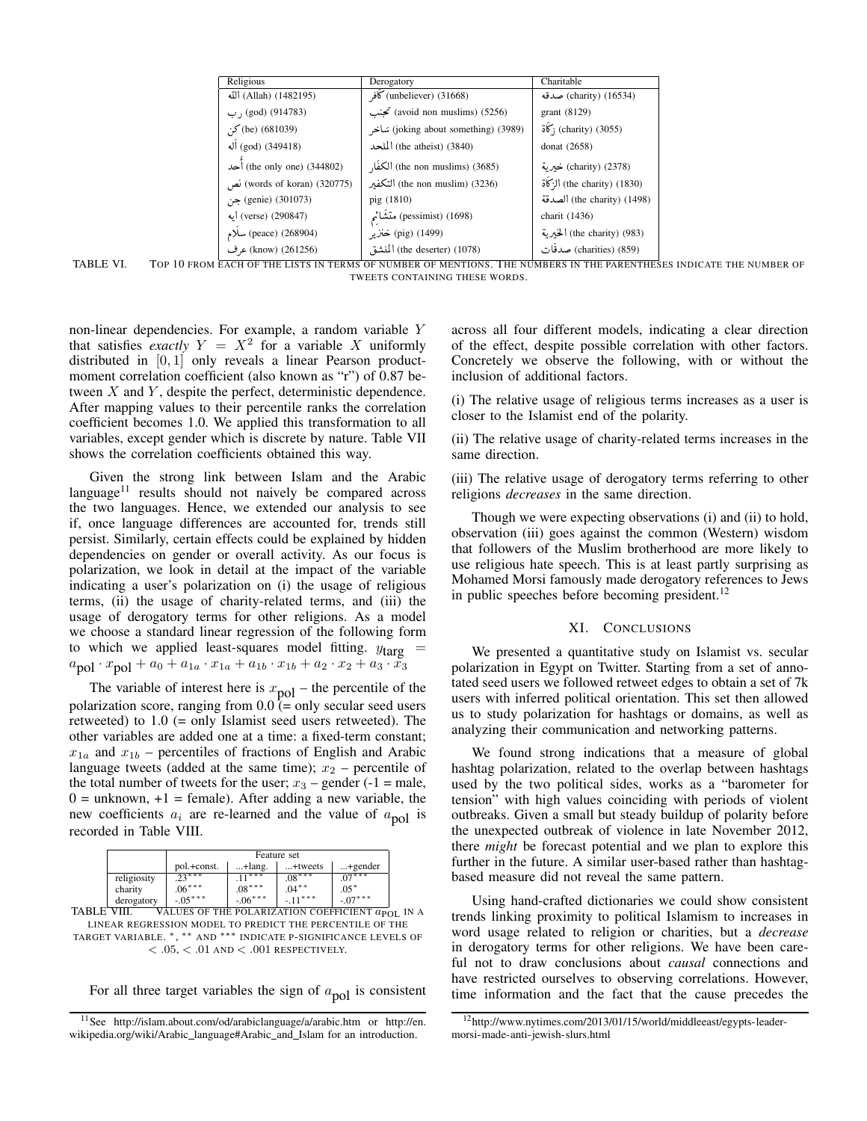| Religious                    | Derogatory                              | Charitable                   |
|------------------------------|-----------------------------------------|------------------------------|
| (Allah) (1482195) ألّه       | (unbeliever) (31668) كافر               | (charity) (16534) صدقه       |
| (914783) رب                  | (avoid non muslims) تحبنت) عبد          | grant $(8129)$               |
| (681039) کې (be)             | (1989) (joking about something) سَاخِر) | (charity) (3055) زكاة        |
| (god) (349418) أله           | (the atheist) (3840) الملحد             | donat $(2658)$               |
| (the only one) (344802)      | (1685) (the non muslims) الكفار)        | (charity) (2378) خىرية       |
| (words of koran) (320775) نص | (3236) (the non muslim) التكفير         | (1830) (the charity) (1830)  |
| (301073) جن) جن              | pig (1810)                              | (the charity) (1498) الصدقة  |
| (verse) (290847) أيه         | (1698) pessimist) متشائم                | charit (1436)                |
| (peace) (268904) سلام        | (1499) خنزير) خ                         | (983) (the charity) المخبرية |
| (261256) ع ف                 | (the deserter) (1078) المنشق            | (859) (charities) صدقات      |



non-linear dependencies. For example, a random variable Y that satisfies *exactly*  $Y = X^2$  for a variable X uniformly distributed in [0, 1] only reveals a linear Pearson productmoment correlation coefficient (also known as "r") of 0.87 between  $X$  and  $Y$ , despite the perfect, deterministic dependence. After mapping values to their percentile ranks the correlation coefficient becomes 1.0. We applied this transformation to all variables, except gender which is discrete by nature. Table VII shows the correlation coefficients obtained this way.

Given the strong link between Islam and the Arabic language<sup>11</sup> results should not naively be compared across the two languages. Hence, we extended our analysis to see if, once language differences are accounted for, trends still persist. Similarly, certain effects could be explained by hidden dependencies on gender or overall activity. As our focus is polarization, we look in detail at the impact of the variable indicating a user's polarization on (i) the usage of religious terms, (ii) the usage of charity-related terms, and (iii) the usage of derogatory terms for other religions. As a model we choose a standard linear regression of the following form to which we applied least-squares model fitting.  $y_{\text{targ}}$  =  $a_{pol} \cdot x_{pol} + a_0 + a_{1a} \cdot x_{1a} + a_{1b} \cdot x_{1b} + a_2 \cdot x_2 + a_3 \cdot x_3$ 

The variable of interest here is  $x_{pol}$  – the percentile of the polarization score, ranging from  $0.0$  (= only secular seed users retweeted) to 1.0 (= only Islamist seed users retweeted). The other variables are added one at a time: a fixed-term constant;  $x_{1a}$  and  $x_{1b}$  – percentiles of fractions of English and Arabic language tweets (added at the same time);  $x_2$  – percentile of the total number of tweets for the user;  $x_3$  – gender (-1 = male,  $0 =$  unknown,  $+1 =$  female). After adding a new variable, the new coefficients  $a_i$  are re-learned and the value of  $a_{\text{pol}}$  is recorded in Table VIII.

|             |             |            | Feature set |                       |
|-------------|-------------|------------|-------------|-----------------------|
|             | pol.+const. | +lang.     | +tweets     | +gender               |
| religiosity | $2^{3***}$  | $11^{***}$ | $.08***$    | $0\overline{7^{***}}$ |
| charity     | $.06***$    | $.08***$   | $.04***$    | $.05*$                |
| derogatory  | $-0.05***$  | $-.06***$  | $-11***$    | $-07***$              |

TABLE VIII. VALUES OF THE POLARIZATION COEFFICIENT  $a_{\rm POL}$  in a LINEAR REGRESSION MODEL TO PREDICT THE PERCENTILE OF THE TARGET VARIABLE. ∗, ∗∗ AND ∗∗∗ INDICATE P-SIGNIFICANCE LEVELS OF  $<$  .05,  $<$  .01 AND  $<$  .001 RESPECTIVELY.

For all three target variables the sign of  $a_{\text{pol}}$  is consistent

across all four different models, indicating a clear direction of the effect, despite possible correlation with other factors. Concretely we observe the following, with or without the inclusion of additional factors.

(i) The relative usage of religious terms increases as a user is closer to the Islamist end of the polarity.

(ii) The relative usage of charity-related terms increases in the same direction.

(iii) The relative usage of derogatory terms referring to other religions *decreases* in the same direction.

Though we were expecting observations (i) and (ii) to hold, observation (iii) goes against the common (Western) wisdom that followers of the Muslim brotherhood are more likely to use religious hate speech. This is at least partly surprising as Mohamed Morsi famously made derogatory references to Jews in public speeches before becoming president.<sup>12</sup>

# XI. CONCLUSIONS

We presented a quantitative study on Islamist vs. secular polarization in Egypt on Twitter. Starting from a set of annotated seed users we followed retweet edges to obtain a set of 7k users with inferred political orientation. This set then allowed us to study polarization for hashtags or domains, as well as analyzing their communication and networking patterns.

We found strong indications that a measure of global hashtag polarization, related to the overlap between hashtags used by the two political sides, works as a "barometer for tension" with high values coinciding with periods of violent outbreaks. Given a small but steady buildup of polarity before the unexpected outbreak of violence in late November 2012, there *might* be forecast potential and we plan to explore this further in the future. A similar user-based rather than hashtagbased measure did not reveal the same pattern.

Using hand-crafted dictionaries we could show consistent trends linking proximity to political Islamism to increases in word usage related to religion or charities, but a *decrease* in derogatory terms for other religions. We have been careful not to draw conclusions about *causal* connections and have restricted ourselves to observing correlations. However, time information and the fact that the cause precedes the

<sup>11</sup>See http://islam.about.com/od/arabiclanguage/a/arabic.htm or http://en. wikipedia.org/wiki/Arabic\_language#Arabic\_and\_Islam for an introduction.

<sup>12</sup>http://www.nytimes.com/2013/01/15/world/middleeast/egypts-leadermorsi-made-anti-jewish-slurs.html